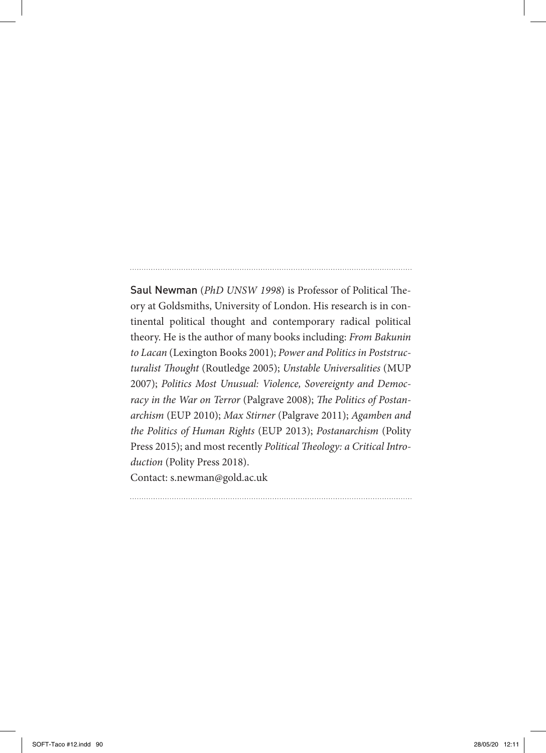Saul Newman (*PhD UNSW 1998*) is Professor of Political Theory at Goldsmiths, University of London. His research is in continental political thought and contemporary radical political theory. He is the author of many books including: *From Bakunin to Lacan* (Lexington Books 2001); *Power and Politics in Poststructuralist Thought* (Routledge 2005); *Unstable Universalities* (MUP 2007); *Politics Most Unusual: Violence, Sovereignty and Democracy in the War on Terror* (Palgrave 2008); *The Politics of Postanarchism* (EUP 2010); *Max Stirner* (Palgrave 2011); *Agamben and the Politics of Human Rights* (EUP 2013); *Postanarchism* (Polity Press 2015); and most recently *Political Theology: a Critical Introduction* (Polity Press 2018). Contact: s.newman@gold.ac.uk

SOFT-Taco #12.indd 90 28/05/20 12:11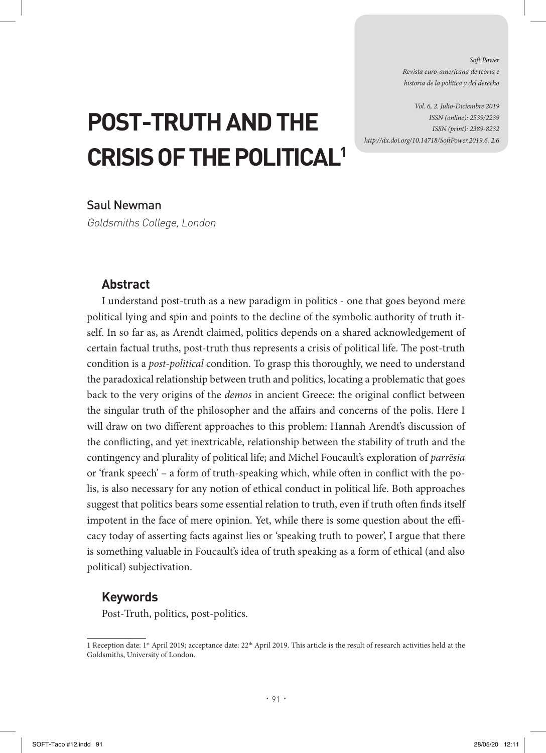*Soft Power Revista euro-americana de teoría e historia de la política y del derecho* 

*Vol. 6, 2. Julio-Diciembre 2019 ISSN (online): 2539/2239 ISSN (print): 2389-8232 http://dx.doi.org/10.14718/SoftPower.2019.6. 2.6*

# **POST-TRUTH AND THE CRISIS OF THE POLITICAL1**

Saul Newman

Goldsmiths College, London

# **Abstract**

I understand post-truth as a new paradigm in politics - one that goes beyond mere political lying and spin and points to the decline of the symbolic authority of truth itself. In so far as, as Arendt claimed, politics depends on a shared acknowledgement of certain factual truths, post-truth thus represents a crisis of political life. The post-truth condition is a *post-political* condition. To grasp this thoroughly, we need to understand the paradoxical relationship between truth and politics, locating a problematic that goes back to the very origins of the *demos* in ancient Greece: the original conflict between the singular truth of the philosopher and the affairs and concerns of the polis. Here I will draw on two different approaches to this problem: Hannah Arendt's discussion of the conflicting, and yet inextricable, relationship between the stability of truth and the contingency and plurality of political life; and Michel Foucault's exploration of *parrësia* or 'frank speech' – a form of truth-speaking which, while often in conflict with the polis, is also necessary for any notion of ethical conduct in political life. Both approaches suggest that politics bears some essential relation to truth, even if truth often finds itself impotent in the face of mere opinion. Yet, while there is some question about the efficacy today of asserting facts against lies or 'speaking truth to power', I argue that there is something valuable in Foucault's idea of truth speaking as a form of ethical (and also political) subjectivation.

# **Keywords**

Post-Truth, politics, post-politics.

<sup>1</sup> Reception date: 1<sup>st</sup> April 2019; acceptance date: 22<sup>th</sup> April 2019. This article is the result of research activities held at the Goldsmiths, University of London.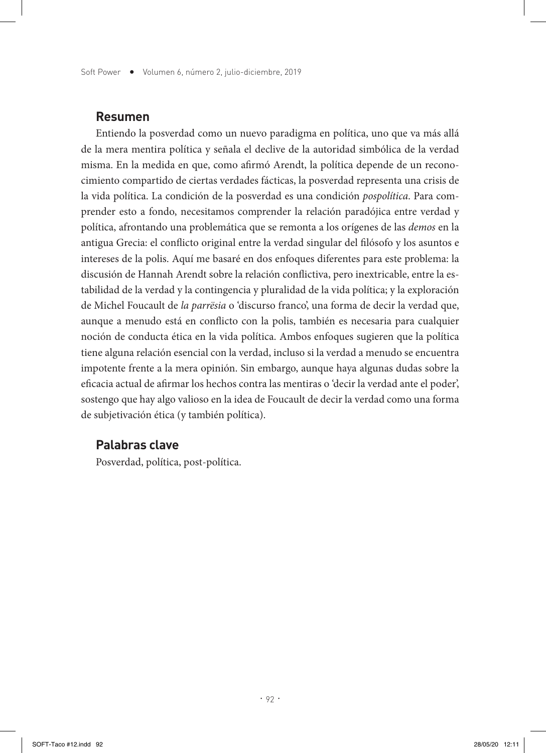Soft Power  $\bullet$  Volumen 6, número 2, julio-diciembre, 2019

## **Resumen**

Entiendo la posverdad como un nuevo paradigma en política, uno que va más allá de la mera mentira política y señala el declive de la autoridad simbólica de la verdad misma. En la medida en que, como afirmó Arendt, la política depende de un reconocimiento compartido de ciertas verdades fácticas, la posverdad representa una crisis de la vida política. La condición de la posverdad es una condición *pospolítica*. Para comprender esto a fondo, necesitamos comprender la relación paradójica entre verdad y política, afrontando una problemática que se remonta a los orígenes de las *demos* en la antigua Grecia: el conflicto original entre la verdad singular del filósofo y los asuntos e intereses de la polis. Aquí me basaré en dos enfoques diferentes para este problema: la discusión de Hannah Arendt sobre la relación conflictiva, pero inextricable, entre la estabilidad de la verdad y la contingencia y pluralidad de la vida política; y la exploración de Michel Foucault de *la parrësia* o 'discurso franco', una forma de decir la verdad que, aunque a menudo está en conflicto con la polis, también es necesaria para cualquier noción de conducta ética en la vida política. Ambos enfoques sugieren que la política tiene alguna relación esencial con la verdad, incluso si la verdad a menudo se encuentra impotente frente a la mera opinión. Sin embargo, aunque haya algunas dudas sobre la eficacia actual de afirmar los hechos contra las mentiras o 'decir la verdad ante el poder', sostengo que hay algo valioso en la idea de Foucault de decir la verdad como una forma de subjetivación ética (y también política).

## **Palabras clave**

Posverdad, política, post-política.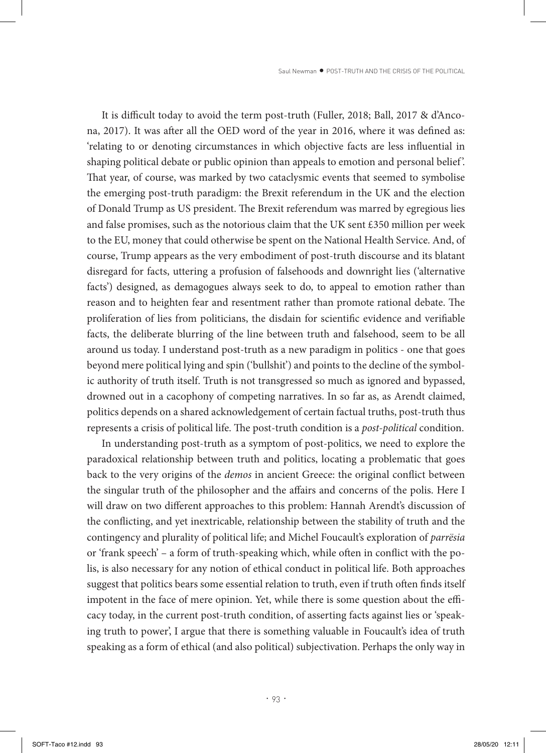It is difficult today to avoid the term post-truth (Fuller, 2018; Ball, 2017 & d'Ancona, 2017). It was after all the OED word of the year in 2016, where it was defined as: 'relating to or denoting circumstances in which objective facts are less influential in shaping political debate or public opinion than appeals to emotion and personal belief '. That year, of course, was marked by two cataclysmic events that seemed to symbolise the emerging post-truth paradigm: the Brexit referendum in the UK and the election of Donald Trump as US president. The Brexit referendum was marred by egregious lies and false promises, such as the notorious claim that the UK sent  $£350$  million per week to the EU, money that could otherwise be spent on the National Health Service. And, of course, Trump appears as the very embodiment of post-truth discourse and its blatant disregard for facts, uttering a profusion of falsehoods and downright lies ('alternative facts') designed, as demagogues always seek to do, to appeal to emotion rather than reason and to heighten fear and resentment rather than promote rational debate. The proliferation of lies from politicians, the disdain for scientific evidence and verifiable facts, the deliberate blurring of the line between truth and falsehood, seem to be all around us today. I understand post-truth as a new paradigm in politics - one that goes beyond mere political lying and spin ('bullshit') and points to the decline of the symbolic authority of truth itself. Truth is not transgressed so much as ignored and bypassed, drowned out in a cacophony of competing narratives. In so far as, as Arendt claimed, politics depends on a shared acknowledgement of certain factual truths, post-truth thus represents a crisis of political life. The post-truth condition is a *post-political* condition.

In understanding post-truth as a symptom of post-politics, we need to explore the paradoxical relationship between truth and politics, locating a problematic that goes back to the very origins of the *demos* in ancient Greece: the original conflict between the singular truth of the philosopher and the affairs and concerns of the polis. Here I will draw on two different approaches to this problem: Hannah Arendt's discussion of the conflicting, and yet inextricable, relationship between the stability of truth and the contingency and plurality of political life; and Michel Foucault's exploration of *parrësia* or 'frank speech' – a form of truth-speaking which, while often in conflict with the polis, is also necessary for any notion of ethical conduct in political life. Both approaches suggest that politics bears some essential relation to truth, even if truth often finds itself impotent in the face of mere opinion. Yet, while there is some question about the efficacy today, in the current post-truth condition, of asserting facts against lies or 'speaking truth to power', I argue that there is something valuable in Foucault's idea of truth speaking as a form of ethical (and also political) subjectivation. Perhaps the only way in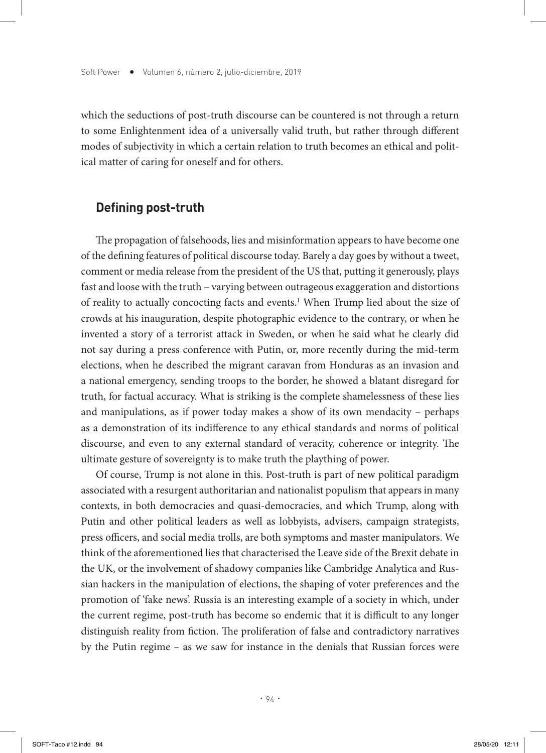which the seductions of post-truth discourse can be countered is not through a return to some Enlightenment idea of a universally valid truth, but rather through different modes of subjectivity in which a certain relation to truth becomes an ethical and political matter of caring for oneself and for others.

## **Defining post-truth**

The propagation of falsehoods, lies and misinformation appears to have become one of the defining features of political discourse today. Barely a day goes by without a tweet, comment or media release from the president of the US that, putting it generously, plays fast and loose with the truth – varying between outrageous exaggeration and distortions of reality to actually concocting facts and events.1 When Trump lied about the size of crowds at his inauguration, despite photographic evidence to the contrary, or when he invented a story of a terrorist attack in Sweden, or when he said what he clearly did not say during a press conference with Putin, or, more recently during the mid-term elections, when he described the migrant caravan from Honduras as an invasion and a national emergency, sending troops to the border, he showed a blatant disregard for truth, for factual accuracy. What is striking is the complete shamelessness of these lies and manipulations, as if power today makes a show of its own mendacity – perhaps as a demonstration of its indifference to any ethical standards and norms of political discourse, and even to any external standard of veracity, coherence or integrity. The ultimate gesture of sovereignty is to make truth the plaything of power.

Of course, Trump is not alone in this. Post-truth is part of new political paradigm associated with a resurgent authoritarian and nationalist populism that appears in many contexts, in both democracies and quasi-democracies, and which Trump, along with Putin and other political leaders as well as lobbyists, advisers, campaign strategists, press officers, and social media trolls, are both symptoms and master manipulators. We think of the aforementioned lies that characterised the Leave side of the Brexit debate in the UK, or the involvement of shadowy companies like Cambridge Analytica and Russian hackers in the manipulation of elections, the shaping of voter preferences and the promotion of 'fake news'. Russia is an interesting example of a society in which, under the current regime, post-truth has become so endemic that it is difficult to any longer distinguish reality from fiction. The proliferation of false and contradictory narratives by the Putin regime – as we saw for instance in the denials that Russian forces were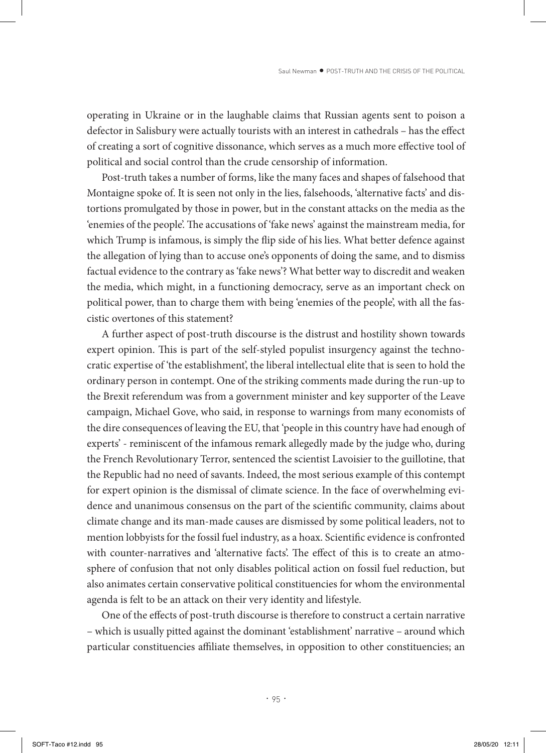operating in Ukraine or in the laughable claims that Russian agents sent to poison a defector in Salisbury were actually tourists with an interest in cathedrals – has the effect of creating a sort of cognitive dissonance, which serves as a much more effective tool of political and social control than the crude censorship of information.

Post-truth takes a number of forms, like the many faces and shapes of falsehood that Montaigne spoke of. It is seen not only in the lies, falsehoods, 'alternative facts' and distortions promulgated by those in power, but in the constant attacks on the media as the 'enemies of the people'. The accusations of 'fake news' against the mainstream media, for which Trump is infamous, is simply the flip side of his lies. What better defence against the allegation of lying than to accuse one's opponents of doing the same, and to dismiss factual evidence to the contrary as 'fake news'? What better way to discredit and weaken the media, which might, in a functioning democracy, serve as an important check on political power, than to charge them with being 'enemies of the people', with all the fascistic overtones of this statement?

A further aspect of post-truth discourse is the distrust and hostility shown towards expert opinion. This is part of the self-styled populist insurgency against the technocratic expertise of 'the establishment', the liberal intellectual elite that is seen to hold the ordinary person in contempt. One of the striking comments made during the run-up to the Brexit referendum was from a government minister and key supporter of the Leave campaign, Michael Gove, who said, in response to warnings from many economists of the dire consequences of leaving the EU, that 'people in this country have had enough of experts' - reminiscent of the infamous remark allegedly made by the judge who, during the French Revolutionary Terror, sentenced the scientist Lavoisier to the guillotine, that the Republic had no need of savants. Indeed, the most serious example of this contempt for expert opinion is the dismissal of climate science. In the face of overwhelming evidence and unanimous consensus on the part of the scientific community, claims about climate change and its man-made causes are dismissed by some political leaders, not to mention lobbyists for the fossil fuel industry, as a hoax. Scientific evidence is confronted with counter-narratives and 'alternative facts'. The effect of this is to create an atmosphere of confusion that not only disables political action on fossil fuel reduction, but also animates certain conservative political constituencies for whom the environmental agenda is felt to be an attack on their very identity and lifestyle.

One of the effects of post-truth discourse is therefore to construct a certain narrative – which is usually pitted against the dominant 'establishment' narrative – around which particular constituencies affiliate themselves, in opposition to other constituencies; an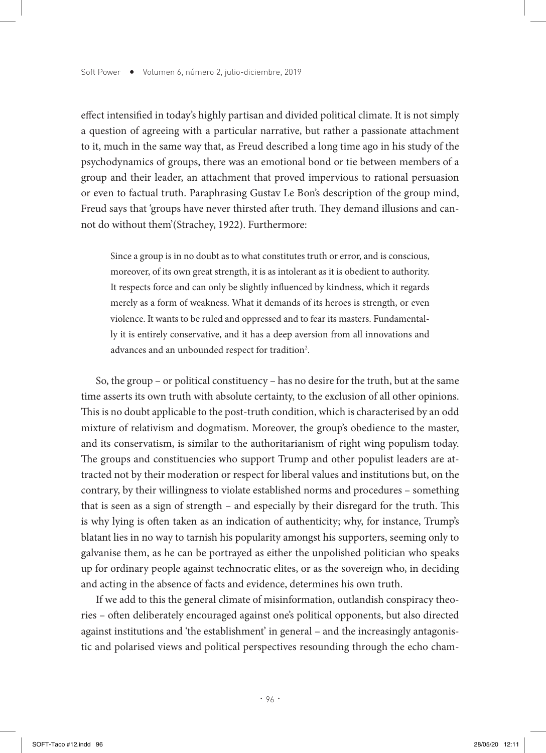effect intensified in today's highly partisan and divided political climate. It is not simply a question of agreeing with a particular narrative, but rather a passionate attachment to it, much in the same way that, as Freud described a long time ago in his study of the psychodynamics of groups, there was an emotional bond or tie between members of a group and their leader, an attachment that proved impervious to rational persuasion or even to factual truth. Paraphrasing Gustav Le Bon's description of the group mind, Freud says that 'groups have never thirsted after truth. They demand illusions and cannot do without them'(Strachey, 1922). Furthermore:

Since a group is in no doubt as to what constitutes truth or error, and is conscious, moreover, of its own great strength, it is as intolerant as it is obedient to authority. It respects force and can only be slightly influenced by kindness, which it regards merely as a form of weakness. What it demands of its heroes is strength, or even violence. It wants to be ruled and oppressed and to fear its masters. Fundamentally it is entirely conservative, and it has a deep aversion from all innovations and advances and an unbounded respect for tradition<sup>2</sup>.

So, the group – or political constituency – has no desire for the truth, but at the same time asserts its own truth with absolute certainty, to the exclusion of all other opinions. This is no doubt applicable to the post-truth condition, which is characterised by an odd mixture of relativism and dogmatism. Moreover, the group's obedience to the master, and its conservatism, is similar to the authoritarianism of right wing populism today. The groups and constituencies who support Trump and other populist leaders are attracted not by their moderation or respect for liberal values and institutions but, on the contrary, by their willingness to violate established norms and procedures – something that is seen as a sign of strength – and especially by their disregard for the truth. This is why lying is often taken as an indication of authenticity; why, for instance, Trump's blatant lies in no way to tarnish his popularity amongst his supporters, seeming only to galvanise them, as he can be portrayed as either the unpolished politician who speaks up for ordinary people against technocratic elites, or as the sovereign who, in deciding and acting in the absence of facts and evidence, determines his own truth.

If we add to this the general climate of misinformation, outlandish conspiracy theories – often deliberately encouraged against one's political opponents, but also directed against institutions and 'the establishment' in general – and the increasingly antagonistic and polarised views and political perspectives resounding through the echo cham-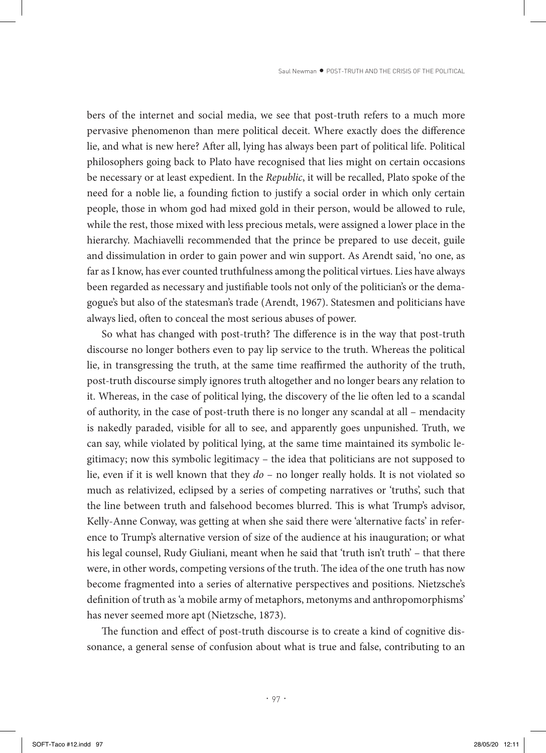bers of the internet and social media, we see that post-truth refers to a much more pervasive phenomenon than mere political deceit. Where exactly does the difference lie, and what is new here? After all, lying has always been part of political life. Political philosophers going back to Plato have recognised that lies might on certain occasions be necessary or at least expedient. In the *Republic*, it will be recalled, Plato spoke of the need for a noble lie, a founding fiction to justify a social order in which only certain people, those in whom god had mixed gold in their person, would be allowed to rule, while the rest, those mixed with less precious metals, were assigned a lower place in the hierarchy. Machiavelli recommended that the prince be prepared to use deceit, guile and dissimulation in order to gain power and win support. As Arendt said, 'no one, as far as I know, has ever counted truthfulness among the political virtues. Lies have always been regarded as necessary and justifiable tools not only of the politician's or the demagogue's but also of the statesman's trade (Arendt, 1967). Statesmen and politicians have always lied, often to conceal the most serious abuses of power.

So what has changed with post-truth? The difference is in the way that post-truth discourse no longer bothers even to pay lip service to the truth. Whereas the political lie, in transgressing the truth, at the same time reaffirmed the authority of the truth, post-truth discourse simply ignores truth altogether and no longer bears any relation to it. Whereas, in the case of political lying, the discovery of the lie often led to a scandal of authority, in the case of post-truth there is no longer any scandal at all – mendacity is nakedly paraded, visible for all to see, and apparently goes unpunished. Truth, we can say, while violated by political lying, at the same time maintained its symbolic legitimacy; now this symbolic legitimacy – the idea that politicians are not supposed to lie, even if it is well known that they *do* – no longer really holds. It is not violated so much as relativized, eclipsed by a series of competing narratives or 'truths', such that the line between truth and falsehood becomes blurred. This is what Trump's advisor, Kelly-Anne Conway, was getting at when she said there were 'alternative facts' in reference to Trump's alternative version of size of the audience at his inauguration; or what his legal counsel, Rudy Giuliani, meant when he said that 'truth isn't truth' – that there were, in other words, competing versions of the truth. The idea of the one truth has now become fragmented into a series of alternative perspectives and positions. Nietzsche's definition of truth as 'a mobile army of metaphors, metonyms and anthropomorphisms' has never seemed more apt (Nietzsche, 1873).

The function and effect of post-truth discourse is to create a kind of cognitive dissonance, a general sense of confusion about what is true and false, contributing to an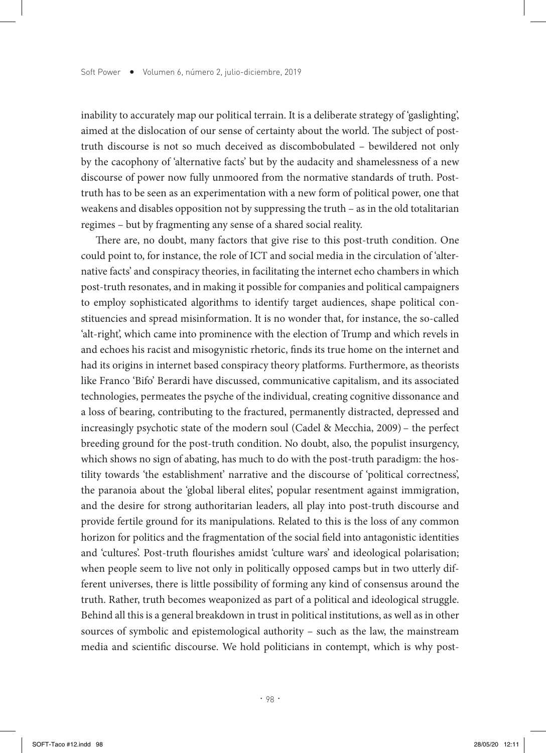inability to accurately map our political terrain. It is a deliberate strategy of 'gaslighting', aimed at the dislocation of our sense of certainty about the world. The subject of posttruth discourse is not so much deceived as discombobulated – bewildered not only by the cacophony of 'alternative facts' but by the audacity and shamelessness of a new discourse of power now fully unmoored from the normative standards of truth. Posttruth has to be seen as an experimentation with a new form of political power, one that weakens and disables opposition not by suppressing the truth – as in the old totalitarian regimes – but by fragmenting any sense of a shared social reality.

There are, no doubt, many factors that give rise to this post-truth condition. One could point to, for instance, the role of ICT and social media in the circulation of 'alternative facts' and conspiracy theories, in facilitating the internet echo chambers in which post-truth resonates, and in making it possible for companies and political campaigners to employ sophisticated algorithms to identify target audiences, shape political constituencies and spread misinformation. It is no wonder that, for instance, the so-called 'alt-right', which came into prominence with the election of Trump and which revels in and echoes his racist and misogynistic rhetoric, finds its true home on the internet and had its origins in internet based conspiracy theory platforms. Furthermore, as theorists like Franco 'Bifo' Berardi have discussed, communicative capitalism, and its associated technologies, permeates the psyche of the individual, creating cognitive dissonance and a loss of bearing, contributing to the fractured, permanently distracted, depressed and increasingly psychotic state of the modern soul (Cadel & Mecchia, 2009) – the perfect breeding ground for the post-truth condition. No doubt, also, the populist insurgency, which shows no sign of abating, has much to do with the post-truth paradigm: the hostility towards 'the establishment' narrative and the discourse of 'political correctness', the paranoia about the 'global liberal elites', popular resentment against immigration, and the desire for strong authoritarian leaders, all play into post-truth discourse and provide fertile ground for its manipulations. Related to this is the loss of any common horizon for politics and the fragmentation of the social field into antagonistic identities and 'cultures'. Post-truth flourishes amidst 'culture wars' and ideological polarisation; when people seem to live not only in politically opposed camps but in two utterly different universes, there is little possibility of forming any kind of consensus around the truth. Rather, truth becomes weaponized as part of a political and ideological struggle. Behind all this is a general breakdown in trust in political institutions, as well as in other sources of symbolic and epistemological authority – such as the law, the mainstream media and scientific discourse. We hold politicians in contempt, which is why post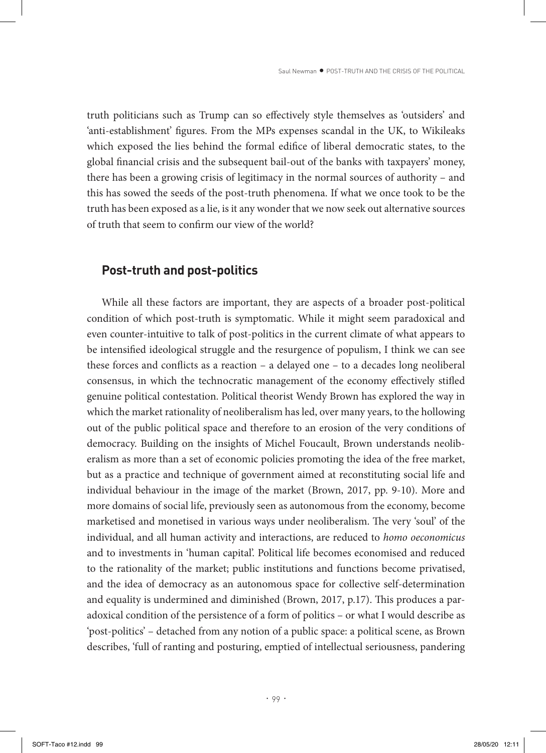truth politicians such as Trump can so effectively style themselves as 'outsiders' and 'anti-establishment' figures. From the MPs expenses scandal in the UK, to Wikileaks which exposed the lies behind the formal edifice of liberal democratic states, to the global financial crisis and the subsequent bail-out of the banks with taxpayers' money, there has been a growing crisis of legitimacy in the normal sources of authority – and this has sowed the seeds of the post-truth phenomena. If what we once took to be the truth has been exposed as a lie, is it any wonder that we now seek out alternative sources of truth that seem to confirm our view of the world?

#### **Post-truth and post-politics**

While all these factors are important, they are aspects of a broader post-political condition of which post-truth is symptomatic. While it might seem paradoxical and even counter-intuitive to talk of post-politics in the current climate of what appears to be intensified ideological struggle and the resurgence of populism, I think we can see these forces and conflicts as a reaction – a delayed one – to a decades long neoliberal consensus, in which the technocratic management of the economy effectively stifled genuine political contestation. Political theorist Wendy Brown has explored the way in which the market rationality of neoliberalism has led, over many years, to the hollowing out of the public political space and therefore to an erosion of the very conditions of democracy. Building on the insights of Michel Foucault, Brown understands neoliberalism as more than a set of economic policies promoting the idea of the free market, but as a practice and technique of government aimed at reconstituting social life and individual behaviour in the image of the market (Brown, 2017, pp. 9-10). More and more domains of social life, previously seen as autonomous from the economy, become marketised and monetised in various ways under neoliberalism. The very 'soul' of the individual, and all human activity and interactions, are reduced to *homo oeconomicus*  and to investments in 'human capital'. Political life becomes economised and reduced to the rationality of the market; public institutions and functions become privatised, and the idea of democracy as an autonomous space for collective self-determination and equality is undermined and diminished (Brown, 2017, p.17). This produces a paradoxical condition of the persistence of a form of politics – or what I would describe as 'post-politics' – detached from any notion of a public space: a political scene, as Brown describes, 'full of ranting and posturing, emptied of intellectual seriousness, pandering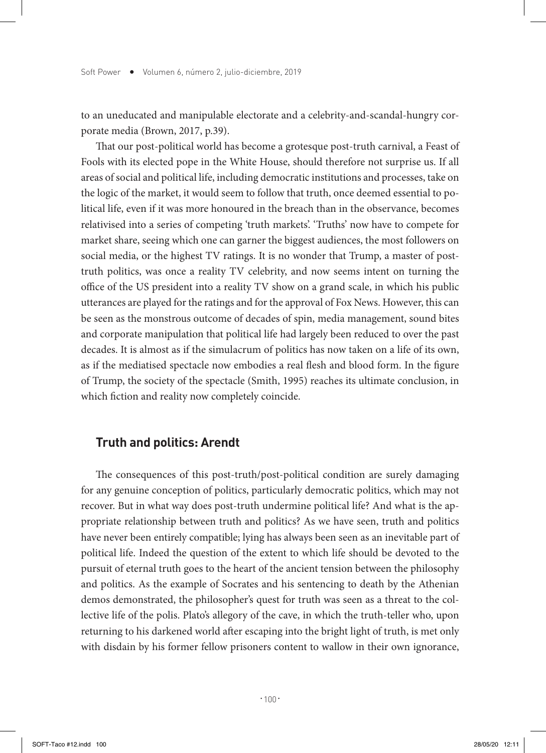to an uneducated and manipulable electorate and a celebrity-and-scandal-hungry corporate media (Brown, 2017, p.39).

That our post-political world has become a grotesque post-truth carnival, a Feast of Fools with its elected pope in the White House, should therefore not surprise us. If all areas of social and political life, including democratic institutions and processes, take on the logic of the market, it would seem to follow that truth, once deemed essential to political life, even if it was more honoured in the breach than in the observance, becomes relativised into a series of competing 'truth markets'. 'Truths' now have to compete for market share, seeing which one can garner the biggest audiences, the most followers on social media, or the highest TV ratings. It is no wonder that Trump, a master of posttruth politics, was once a reality TV celebrity, and now seems intent on turning the office of the US president into a reality TV show on a grand scale, in which his public utterances are played for the ratings and for the approval of Fox News. However, this can be seen as the monstrous outcome of decades of spin, media management, sound bites and corporate manipulation that political life had largely been reduced to over the past decades. It is almost as if the simulacrum of politics has now taken on a life of its own, as if the mediatised spectacle now embodies a real flesh and blood form. In the figure of Trump, the society of the spectacle (Smith, 1995) reaches its ultimate conclusion, in which fiction and reality now completely coincide.

#### **Truth and politics: Arendt**

The consequences of this post-truth/post-political condition are surely damaging for any genuine conception of politics, particularly democratic politics, which may not recover. But in what way does post-truth undermine political life? And what is the appropriate relationship between truth and politics? As we have seen, truth and politics have never been entirely compatible; lying has always been seen as an inevitable part of political life. Indeed the question of the extent to which life should be devoted to the pursuit of eternal truth goes to the heart of the ancient tension between the philosophy and politics. As the example of Socrates and his sentencing to death by the Athenian demos demonstrated, the philosopher's quest for truth was seen as a threat to the collective life of the polis. Plato's allegory of the cave, in which the truth-teller who, upon returning to his darkened world after escaping into the bright light of truth, is met only with disdain by his former fellow prisoners content to wallow in their own ignorance,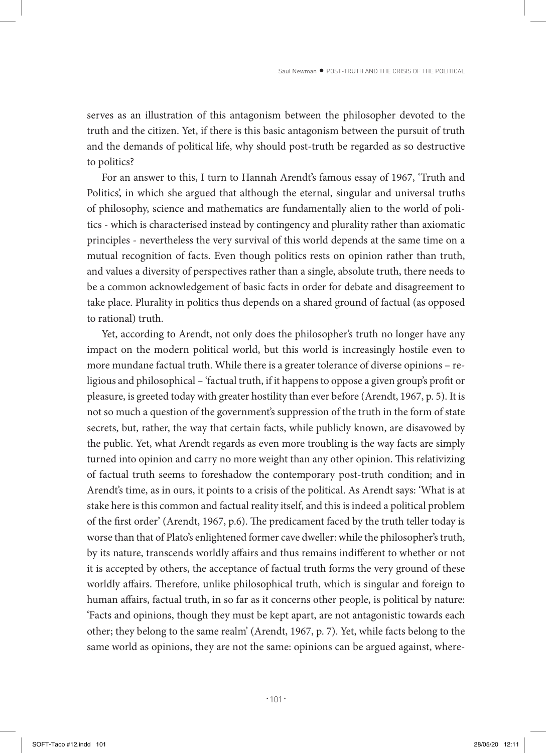serves as an illustration of this antagonism between the philosopher devoted to the truth and the citizen. Yet, if there is this basic antagonism between the pursuit of truth and the demands of political life, why should post-truth be regarded as so destructive to politics?

For an answer to this, I turn to Hannah Arendt's famous essay of 1967, 'Truth and Politics', in which she argued that although the eternal, singular and universal truths of philosophy, science and mathematics are fundamentally alien to the world of politics - which is characterised instead by contingency and plurality rather than axiomatic principles - nevertheless the very survival of this world depends at the same time on a mutual recognition of facts. Even though politics rests on opinion rather than truth, and values a diversity of perspectives rather than a single, absolute truth, there needs to be a common acknowledgement of basic facts in order for debate and disagreement to take place. Plurality in politics thus depends on a shared ground of factual (as opposed to rational) truth.

Yet, according to Arendt, not only does the philosopher's truth no longer have any impact on the modern political world, but this world is increasingly hostile even to more mundane factual truth. While there is a greater tolerance of diverse opinions – religious and philosophical – 'factual truth, if it happens to oppose a given group's profit or pleasure, is greeted today with greater hostility than ever before (Arendt, 1967, p. 5). It is not so much a question of the government's suppression of the truth in the form of state secrets, but, rather, the way that certain facts, while publicly known, are disavowed by the public. Yet, what Arendt regards as even more troubling is the way facts are simply turned into opinion and carry no more weight than any other opinion. This relativizing of factual truth seems to foreshadow the contemporary post-truth condition; and in Arendt's time, as in ours, it points to a crisis of the political. As Arendt says: 'What is at stake here is this common and factual reality itself, and this is indeed a political problem of the first order' (Arendt, 1967, p.6). The predicament faced by the truth teller today is worse than that of Plato's enlightened former cave dweller: while the philosopher's truth, by its nature, transcends worldly affairs and thus remains indifferent to whether or not it is accepted by others, the acceptance of factual truth forms the very ground of these worldly affairs. Therefore, unlike philosophical truth, which is singular and foreign to human affairs, factual truth, in so far as it concerns other people, is political by nature: 'Facts and opinions, though they must be kept apart, are not antagonistic towards each other; they belong to the same realm' (Arendt, 1967, p. 7). Yet, while facts belong to the same world as opinions, they are not the same: opinions can be argued against, where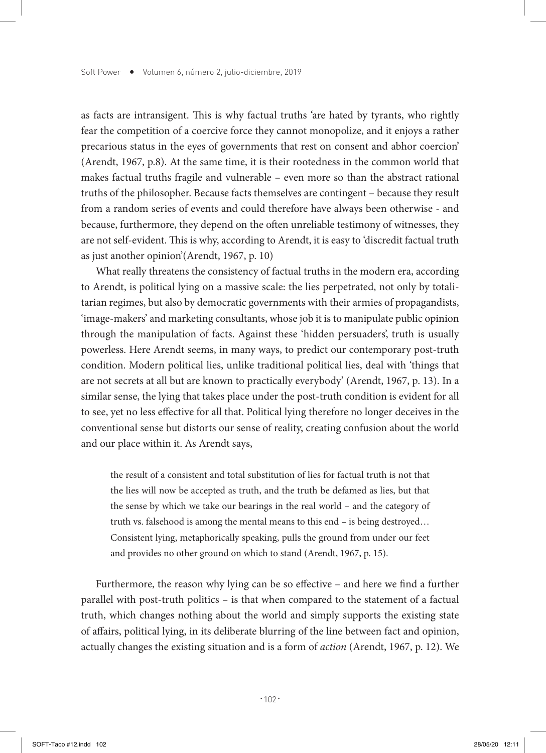as facts are intransigent. This is why factual truths 'are hated by tyrants, who rightly fear the competition of a coercive force they cannot monopolize, and it enjoys a rather precarious status in the eyes of governments that rest on consent and abhor coercion' (Arendt, 1967, p.8). At the same time, it is their rootedness in the common world that makes factual truths fragile and vulnerable – even more so than the abstract rational truths of the philosopher. Because facts themselves are contingent – because they result from a random series of events and could therefore have always been otherwise - and because, furthermore, they depend on the often unreliable testimony of witnesses, they are not self-evident. This is why, according to Arendt, it is easy to 'discredit factual truth as just another opinion'(Arendt, 1967, p. 10)

What really threatens the consistency of factual truths in the modern era, according to Arendt, is political lying on a massive scale: the lies perpetrated, not only by totalitarian regimes, but also by democratic governments with their armies of propagandists, 'image-makers' and marketing consultants, whose job it is to manipulate public opinion through the manipulation of facts. Against these 'hidden persuaders', truth is usually powerless. Here Arendt seems, in many ways, to predict our contemporary post-truth condition. Modern political lies, unlike traditional political lies, deal with 'things that are not secrets at all but are known to practically everybody' (Arendt, 1967, p. 13). In a similar sense, the lying that takes place under the post-truth condition is evident for all to see, yet no less effective for all that. Political lying therefore no longer deceives in the conventional sense but distorts our sense of reality, creating confusion about the world and our place within it. As Arendt says,

the result of a consistent and total substitution of lies for factual truth is not that the lies will now be accepted as truth, and the truth be defamed as lies, but that the sense by which we take our bearings in the real world – and the category of truth vs. falsehood is among the mental means to this end – is being destroyed… Consistent lying, metaphorically speaking, pulls the ground from under our feet and provides no other ground on which to stand (Arendt, 1967, p. 15).

Furthermore, the reason why lying can be so effective – and here we find a further parallel with post-truth politics – is that when compared to the statement of a factual truth, which changes nothing about the world and simply supports the existing state of affairs, political lying, in its deliberate blurring of the line between fact and opinion, actually changes the existing situation and is a form of *action* (Arendt, 1967, p. 12). We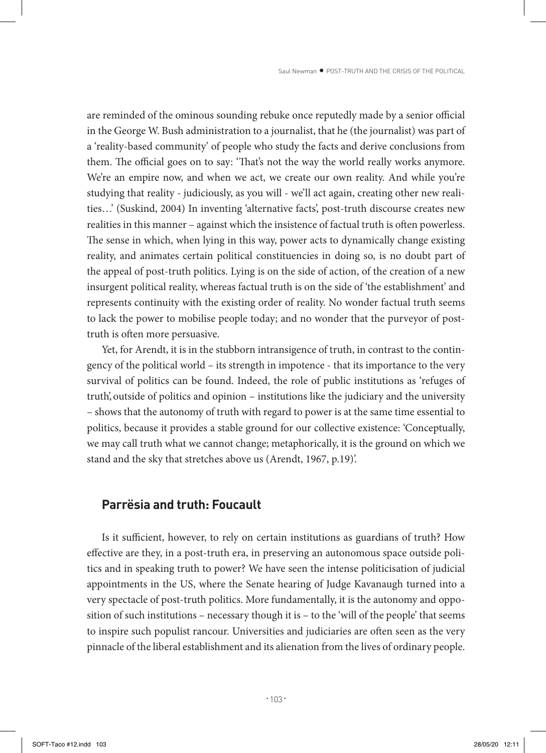are reminded of the ominous sounding rebuke once reputedly made by a senior official in the George W. Bush administration to a journalist, that he (the journalist) was part of a 'reality-based community' of people who study the facts and derive conclusions from them. The official goes on to say: 'That's not the way the world really works anymore. We're an empire now, and when we act, we create our own reality. And while you're studying that reality - judiciously, as you will - we'll act again, creating other new realities…' (Suskind, 2004) In inventing 'alternative facts', post-truth discourse creates new realities in this manner – against which the insistence of factual truth is often powerless. The sense in which, when lying in this way, power acts to dynamically change existing reality, and animates certain political constituencies in doing so, is no doubt part of the appeal of post-truth politics. Lying is on the side of action, of the creation of a new insurgent political reality, whereas factual truth is on the side of 'the establishment' and represents continuity with the existing order of reality. No wonder factual truth seems to lack the power to mobilise people today; and no wonder that the purveyor of posttruth is often more persuasive.

Yet, for Arendt, it is in the stubborn intransigence of truth, in contrast to the contingency of the political world – its strength in impotence - that its importance to the very survival of politics can be found. Indeed, the role of public institutions as 'refuges of truth', outside of politics and opinion – institutions like the judiciary and the university – shows that the autonomy of truth with regard to power is at the same time essential to politics, because it provides a stable ground for our collective existence: 'Conceptually, we may call truth what we cannot change; metaphorically, it is the ground on which we stand and the sky that stretches above us (Arendt, 1967, p.19)'.

#### **Parrësia and truth: Foucault**

Is it sufficient, however, to rely on certain institutions as guardians of truth? How effective are they, in a post-truth era, in preserving an autonomous space outside politics and in speaking truth to power? We have seen the intense politicisation of judicial appointments in the US, where the Senate hearing of Judge Kavanaugh turned into a very spectacle of post-truth politics. More fundamentally, it is the autonomy and opposition of such institutions – necessary though it is – to the 'will of the people' that seems to inspire such populist rancour. Universities and judiciaries are often seen as the very pinnacle of the liberal establishment and its alienation from the lives of ordinary people.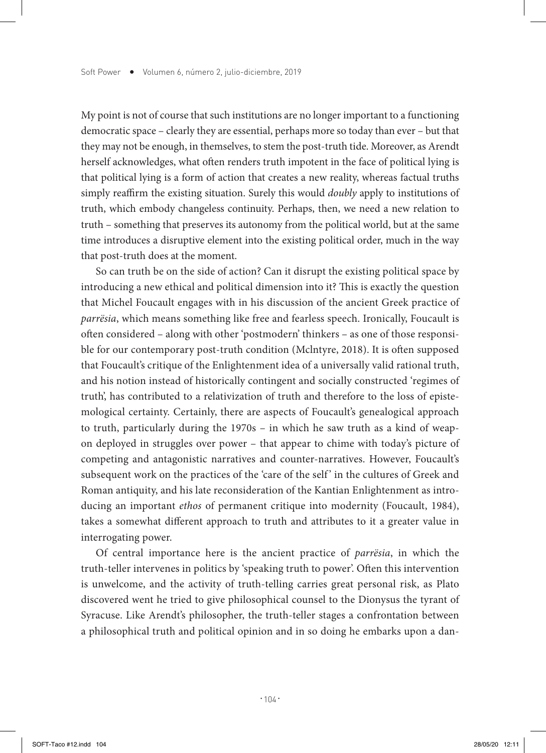My point is not of course that such institutions are no longer important to a functioning democratic space – clearly they are essential, perhaps more so today than ever – but that they may not be enough, in themselves, to stem the post-truth tide. Moreover, as Arendt herself acknowledges, what often renders truth impotent in the face of political lying is that political lying is a form of action that creates a new reality, whereas factual truths simply reaffirm the existing situation. Surely this would *doubly* apply to institutions of truth, which embody changeless continuity. Perhaps, then, we need a new relation to truth – something that preserves its autonomy from the political world, but at the same time introduces a disruptive element into the existing political order, much in the way that post-truth does at the moment.

So can truth be on the side of action? Can it disrupt the existing political space by introducing a new ethical and political dimension into it? This is exactly the question that Michel Foucault engages with in his discussion of the ancient Greek practice of *parrësia*, which means something like free and fearless speech. Ironically, Foucault is often considered – along with other 'postmodern' thinkers – as one of those responsible for our contemporary post-truth condition (Mclntyre, 2018). It is often supposed that Foucault's critique of the Enlightenment idea of a universally valid rational truth, and his notion instead of historically contingent and socially constructed 'regimes of truth', has contributed to a relativization of truth and therefore to the loss of epistemological certainty. Certainly, there are aspects of Foucault's genealogical approach to truth, particularly during the 1970s – in which he saw truth as a kind of weapon deployed in struggles over power – that appear to chime with today's picture of competing and antagonistic narratives and counter-narratives. However, Foucault's subsequent work on the practices of the 'care of the self' in the cultures of Greek and Roman antiquity, and his late reconsideration of the Kantian Enlightenment as introducing an important *ethos* of permanent critique into modernity (Foucault, 1984), takes a somewhat different approach to truth and attributes to it a greater value in interrogating power.

Of central importance here is the ancient practice of *parrësia*, in which the truth-teller intervenes in politics by 'speaking truth to power'. Often this intervention is unwelcome, and the activity of truth-telling carries great personal risk, as Plato discovered went he tried to give philosophical counsel to the Dionysus the tyrant of Syracuse. Like Arendt's philosopher, the truth-teller stages a confrontation between a philosophical truth and political opinion and in so doing he embarks upon a dan-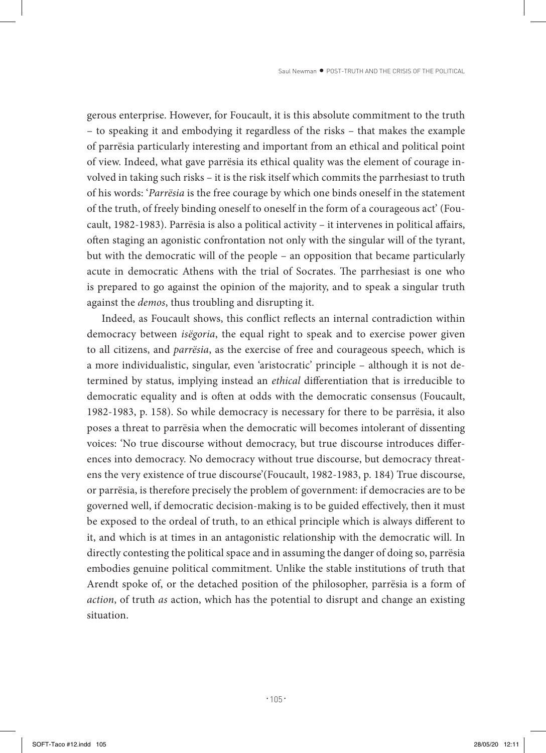gerous enterprise. However, for Foucault, it is this absolute commitment to the truth – to speaking it and embodying it regardless of the risks – that makes the example of parrësia particularly interesting and important from an ethical and political point of view. Indeed, what gave parrësia its ethical quality was the element of courage involved in taking such risks – it is the risk itself which commits the parrhesiast to truth of his words: '*Parrësia* is the free courage by which one binds oneself in the statement of the truth, of freely binding oneself to oneself in the form of a courageous act' (Foucault, 1982-1983). Parrësia is also a political activity – it intervenes in political affairs, often staging an agonistic confrontation not only with the singular will of the tyrant, but with the democratic will of the people – an opposition that became particularly acute in democratic Athens with the trial of Socrates. The parrhesiast is one who is prepared to go against the opinion of the majority, and to speak a singular truth against the *demos*, thus troubling and disrupting it.

Indeed, as Foucault shows, this conflict reflects an internal contradiction within democracy between *isëgoria*, the equal right to speak and to exercise power given to all citizens, and *parrësia*, as the exercise of free and courageous speech, which is a more individualistic, singular, even 'aristocratic' principle – although it is not determined by status, implying instead an *ethical* differentiation that is irreducible to democratic equality and is often at odds with the democratic consensus (Foucault, 1982-1983, p. 158). So while democracy is necessary for there to be parrësia, it also poses a threat to parrësia when the democratic will becomes intolerant of dissenting voices: 'No true discourse without democracy, but true discourse introduces differences into democracy. No democracy without true discourse, but democracy threatens the very existence of true discourse'(Foucault, 1982-1983, p. 184) True discourse, or parrësia, is therefore precisely the problem of government: if democracies are to be governed well, if democratic decision-making is to be guided effectively, then it must be exposed to the ordeal of truth, to an ethical principle which is always different to it, and which is at times in an antagonistic relationship with the democratic will. In directly contesting the political space and in assuming the danger of doing so, parrësia embodies genuine political commitment. Unlike the stable institutions of truth that Arendt spoke of, or the detached position of the philosopher, parrësia is a form of *action*, of truth *as* action, which has the potential to disrupt and change an existing situation.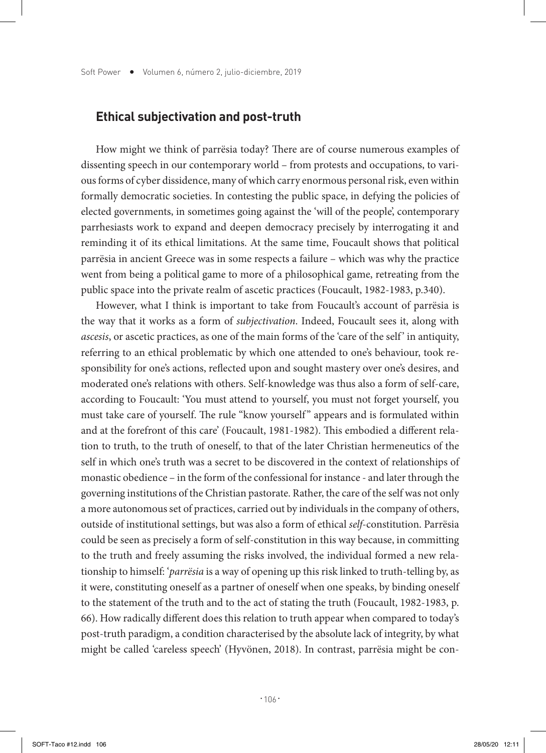#### **Ethical subjectivation and post-truth**

How might we think of parrësia today? There are of course numerous examples of dissenting speech in our contemporary world – from protests and occupations, to various forms of cyber dissidence, many of which carry enormous personal risk, even within formally democratic societies. In contesting the public space, in defying the policies of elected governments, in sometimes going against the 'will of the people', contemporary parrhesiasts work to expand and deepen democracy precisely by interrogating it and reminding it of its ethical limitations. At the same time, Foucault shows that political parrësia in ancient Greece was in some respects a failure – which was why the practice went from being a political game to more of a philosophical game, retreating from the public space into the private realm of ascetic practices (Foucault, 1982-1983, p.340).

However, what I think is important to take from Foucault's account of parrësia is the way that it works as a form of *subjectivation*. Indeed, Foucault sees it, along with *ascesis*, or ascetic practices, as one of the main forms of the 'care of the self' in antiquity, referring to an ethical problematic by which one attended to one's behaviour, took responsibility for one's actions, reflected upon and sought mastery over one's desires, and moderated one's relations with others. Self-knowledge was thus also a form of self-care, according to Foucault: 'You must attend to yourself, you must not forget yourself, you must take care of yourself. The rule "know yourself " appears and is formulated within and at the forefront of this care' (Foucault, 1981-1982). This embodied a different relation to truth, to the truth of oneself, to that of the later Christian hermeneutics of the self in which one's truth was a secret to be discovered in the context of relationships of monastic obedience – in the form of the confessional for instance - and later through the governing institutions of the Christian pastorate. Rather, the care of the self was not only a more autonomous set of practices, carried out by individuals in the company of others, outside of institutional settings, but was also a form of ethical *self*-constitution. Parrësia could be seen as precisely a form of self-constitution in this way because, in committing to the truth and freely assuming the risks involved, the individual formed a new relationship to himself: '*parrësia* is a way of opening up this risk linked to truth-telling by, as it were, constituting oneself as a partner of oneself when one speaks, by binding oneself to the statement of the truth and to the act of stating the truth (Foucault, 1982-1983, p. 66). How radically different does this relation to truth appear when compared to today's post-truth paradigm, a condition characterised by the absolute lack of integrity, by what might be called 'careless speech' (Hyvönen, 2018). In contrast, parrësia might be con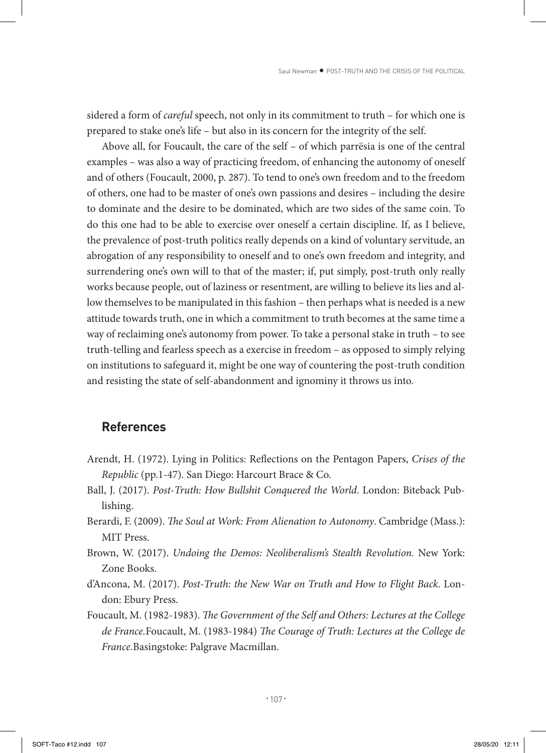sidered a form of *careful* speech, not only in its commitment to truth – for which one is prepared to stake one's life – but also in its concern for the integrity of the self.

Above all, for Foucault, the care of the self – of which parrësia is one of the central examples – was also a way of practicing freedom, of enhancing the autonomy of oneself and of others (Foucault, 2000, p. 287). To tend to one's own freedom and to the freedom of others, one had to be master of one's own passions and desires – including the desire to dominate and the desire to be dominated, which are two sides of the same coin. To do this one had to be able to exercise over oneself a certain discipline. If, as I believe, the prevalence of post-truth politics really depends on a kind of voluntary servitude, an abrogation of any responsibility to oneself and to one's own freedom and integrity, and surrendering one's own will to that of the master; if, put simply, post-truth only really works because people, out of laziness or resentment, are willing to believe its lies and allow themselves to be manipulated in this fashion – then perhaps what is needed is a new attitude towards truth, one in which a commitment to truth becomes at the same time a way of reclaiming one's autonomy from power. To take a personal stake in truth – to see truth-telling and fearless speech as a exercise in freedom – as opposed to simply relying on institutions to safeguard it, might be one way of countering the post-truth condition and resisting the state of self-abandonment and ignominy it throws us into.

# **References**

- Arendt, H. (1972). Lying in Politics: Reflections on the Pentagon Papers, *Crises of the Republic* (pp.1-47)*.* San Diego: Harcourt Brace & Co.
- Ball, J. (2017). *Post-Truth: How Bullshit Conquered the World*. London: Biteback Publishing.
- Berardi, F. (2009). *The Soul at Work: From Alienation to Autonomy*. Cambridge (Mass.): MIT Press.
- Brown, W. (2017). *Undoing the Demos: Neoliberalism's Stealth Revolution.* New York: Zone Books.
- d'Ancona, M. (2017). *Post-Truth: the New War on Truth and How to Flight Back*. London: Ebury Press.
- Foucault, M. (1982-1983). *The Government of the Self and Others: Lectures at the College de France.*Foucault, M. (1983-1984) *The Courage of Truth: Lectures at the College de France.*Basingstoke: Palgrave Macmillan.